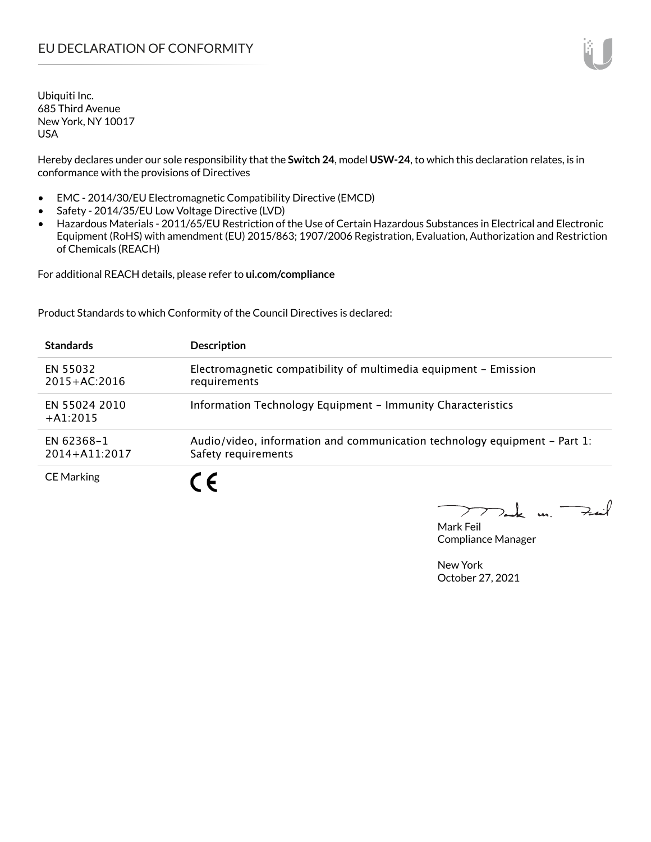Hereby declares under our sole responsibility that the **Switch 24**, model **USW-24**, to which this declaration relates, is in conformance with the provisions of Directives

- EMC 2014/30/EU Electromagnetic Compatibility Directive (EMCD)
- Safety 2014/35/EU Low Voltage Directive (LVD)
- Hazardous Materials 2011/65/EU Restriction of the Use of Certain Hazardous Substances in Electrical and Electronic Equipment (RoHS) with amendment (EU) 2015/863; 1907/2006 Registration, Evaluation, Authorization and Restriction of Chemicals (REACH)

For additional REACH details, please refer to **ui.com/compliance**

Product Standards to which Conformity of the Council Directives is declared:

| <b>Standards</b>                | <b>Description</b>                                                                               |
|---------------------------------|--------------------------------------------------------------------------------------------------|
| EN 55032<br>$2015 + AC:2016$    | Electromagnetic compatibility of multimedia equipment - Emission<br>requirements                 |
| EN 55024 2010<br>$+A1:2015$     | Information Technology Equipment - Immunity Characteristics                                      |
| EN 62368-1<br>$2014 + A11:2017$ | Audio/video, information and communication technology equipment – Part 1:<br>Safety requirements |
| <b>CE Marking</b>               |                                                                                                  |

Tak m. Fail  $\blacktriangleright$ 

Mark Feil Compliance Manager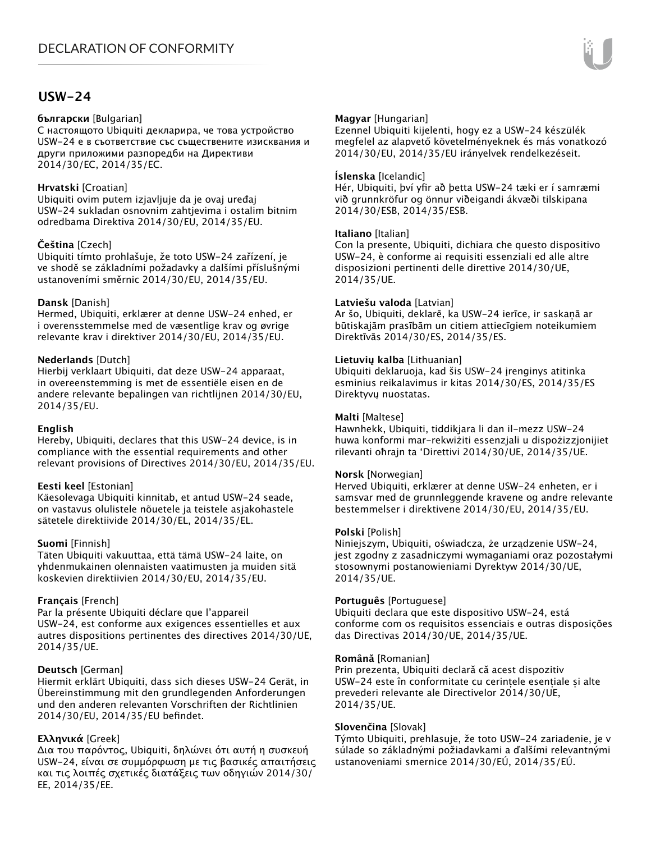### **USW-24**

#### **български** [Bulgarian]

С настоящото Ubiquiti декларира, че това устройство USW-24 е в съответствие със съществените изисквания и други приложими разпоредби на Директиви 2014/30/ЕС, 2014/35/ЕС.

#### **Hrvatski** [Croatian]

Ubiquiti ovim putem izjavljuje da je ovaj uređaj USW-24 sukladan osnovnim zahtjevima i ostalim bitnim odredbama Direktiva 2014/30/EU, 2014/35/EU.

#### **Čeština** [Czech]

Ubiquiti tímto prohlašuje, že toto USW-24 zařízení, je ve shodě se základními požadavky a dalšími příslušnými ustanoveními směrnic 2014/30/EU, 2014/35/EU.

#### **Dansk** [Danish]

Hermed, Ubiquiti, erklærer at denne USW-24 enhed, er i overensstemmelse med de væsentlige krav og øvrige relevante krav i direktiver 2014/30/EU, 2014/35/EU.

#### **Nederlands** [Dutch]

Hierbij verklaart Ubiquiti, dat deze USW-24 apparaat, in overeenstemming is met de essentiële eisen en de andere relevante bepalingen van richtlijnen 2014/30/EU, 2014/35/EU.

#### **English**

Hereby, Ubiquiti, declares that this USW-24 device, is in compliance with the essential requirements and other relevant provisions of Directives 2014/30/EU, 2014/35/EU.

#### **Eesti keel** [Estonian]

Käesolevaga Ubiquiti kinnitab, et antud USW-24 seade, on vastavus olulistele nõuetele ja teistele asjakohastele sätetele direktiivide 2014/30/EL, 2014/35/EL.

#### **Suomi** [Finnish]

Täten Ubiquiti vakuuttaa, että tämä USW-24 laite, on yhdenmukainen olennaisten vaatimusten ja muiden sitä koskevien direktiivien 2014/30/EU, 2014/35/EU.

#### **Français** [French]

Par la présente Ubiquiti déclare que l'appareil USW-24, est conforme aux exigences essentielles et aux autres dispositions pertinentes des directives 2014/30/UE, 2014/35/UE.

#### **Deutsch** [German]

Hiermit erklärt Ubiquiti, dass sich dieses USW-24 Gerät, in Übereinstimmung mit den grundlegenden Anforderungen und den anderen relevanten Vorschriften der Richtlinien 2014/30/EU, 2014/35/EU befindet.

#### **Ελληνικά** [Greek]

Δια του παρόντος, Ubiquiti, δηλώνει ότι αυτή η συσκευή USW-24, είναι σε συμμόρφωση με τις βασικές απαιτήσεις και τις λοιπές σχετικές διατάξεις των οδηγιών 2014/30/ EE, 2014/35/EE.

#### **Magyar** [Hungarian]

Ezennel Ubiquiti kijelenti, hogy ez a USW-24 készülék megfelel az alapvető követelményeknek és más vonatkozó 2014/30/EU, 2014/35/EU irányelvek rendelkezéseit.

#### **Íslenska** [Icelandic]

Hér, Ubiquiti, því yfir að þetta USW-24 tæki er í samræmi við grunnkröfur og önnur viðeigandi ákvæði tilskipana 2014/30/ESB, 2014/35/ESB.

#### **Italiano** [Italian]

Con la presente, Ubiquiti, dichiara che questo dispositivo USW-24, è conforme ai requisiti essenziali ed alle altre disposizioni pertinenti delle direttive 2014/30/UE, 2014/35/UE.

#### **Latviešu valoda** [Latvian]

Ar šo, Ubiquiti, deklarē, ka USW-24 ierīce, ir saskaņā ar būtiskajām prasībām un citiem attiecīgiem noteikumiem Direktīvās 2014/30/ES, 2014/35/ES.

#### **Lietuvių kalba** [Lithuanian]

Ubiquiti deklaruoja, kad šis USW-24 įrenginys atitinka esminius reikalavimus ir kitas 2014/30/ES, 2014/35/ES Direktyvų nuostatas.

#### **Malti** [Maltese]

Hawnhekk, Ubiquiti, tiddikjara li dan il-mezz USW-24 huwa konformi mar-rekwiżiti essenzjali u dispożizzjonijiet rilevanti oħrajn ta 'Direttivi 2014/30/UE, 2014/35/UE.

#### **Norsk** [Norwegian]

Herved Ubiquiti, erklærer at denne USW-24 enheten, er i samsvar med de grunnleggende kravene og andre relevante bestemmelser i direktivene 2014/30/EU, 2014/35/EU.

#### **Polski** [Polish]

Niniejszym, Ubiquiti, oświadcza, że urządzenie USW-24, jest zgodny z zasadniczymi wymaganiami oraz pozostałymi stosownymi postanowieniami Dyrektyw 2014/30/UE, 2014/35/UE.

#### **Português** [Portuguese]

Ubiquiti declara que este dispositivo USW-24, está conforme com os requisitos essenciais e outras disposições das Directivas 2014/30/UE, 2014/35/UE.

#### **Română** [Romanian]

Prin prezenta, Ubiquiti declară că acest dispozitiv USW-24 este în conformitate cu cerințele esențiale și alte prevederi relevante ale Directivelor 2014/30/UE, 2014/35/UE.

#### **Slovenčina** [Slovak]

Týmto Ubiquiti, prehlasuje, že toto USW-24 zariadenie, je v súlade so základnými požiadavkami a ďalšími relevantnými ustanoveniami smernice 2014/30/EÚ, 2014/35/EÚ.

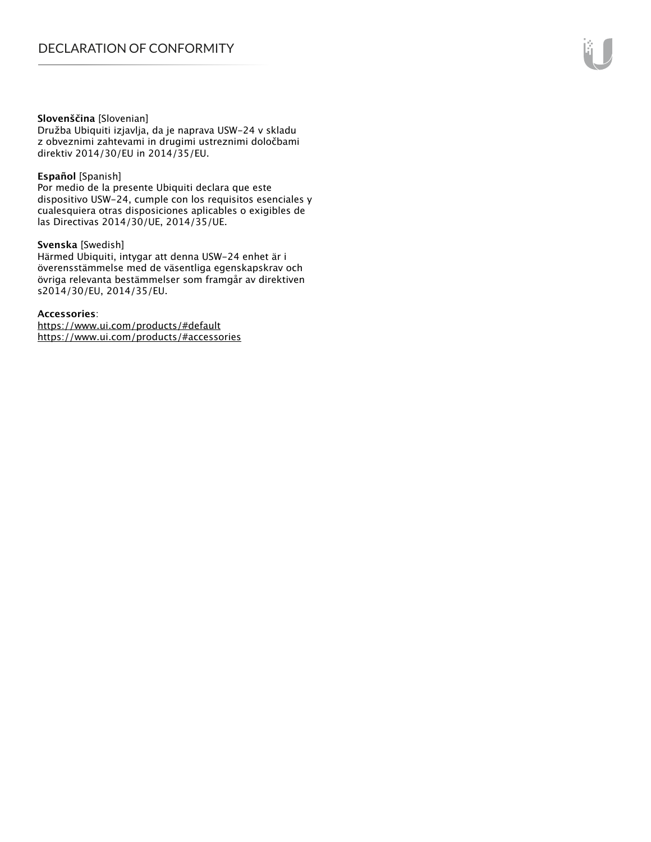#### **Slovenščina** [Slovenian]

Družba Ubiquiti izjavlja, da je naprava USW-24 v skladu z obveznimi zahtevami in drugimi ustreznimi določbami direktiv 2014/30/EU in 2014/35/EU.

#### **Español** [Spanish]

Por medio de la presente Ubiquiti declara que este dispositivo USW-24, cumple con los requisitos esenciales y cualesquiera otras disposiciones aplicables o exigibles de las Directivas 2014/30/UE, 2014/35/UE.

#### **Svenska** [Swedish]

Härmed Ubiquiti, intygar att denna USW-24 enhet är i överensstämmelse med de väsentliga egenskapskrav och övriga relevanta bestämmelser som framgår av direktiven s2014/30/EU, 2014/35/EU.

#### **Accessories**:

https://www.ui.com/products/#default https://www.ui.com/products/#accessories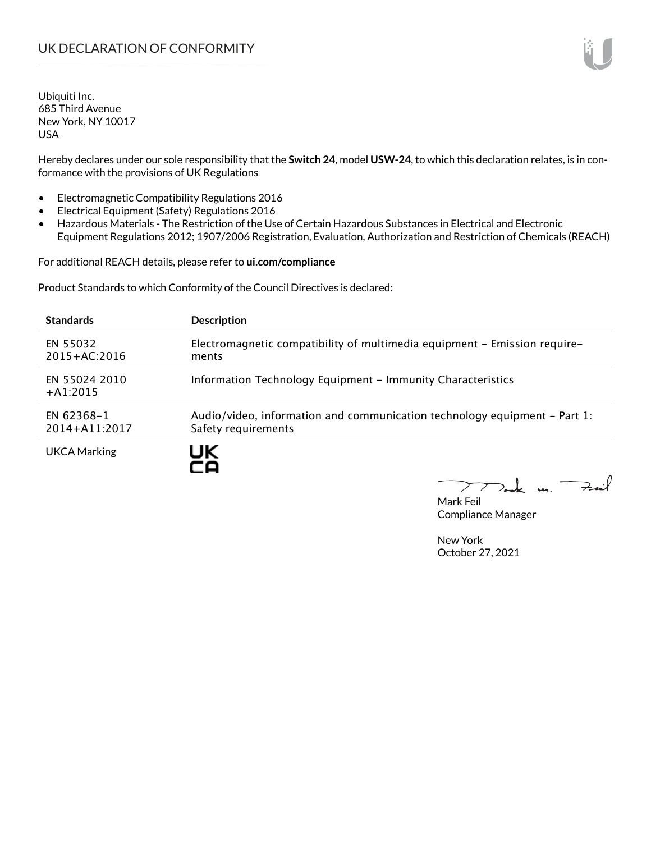Hereby declares under our sole responsibility that the **Switch 24**, model **USW-24**, to which this declaration relates, is in conformance with the provisions of UK Regulations

- Electromagnetic Compatibility Regulations 2016
- Electrical Equipment (Safety) Regulations 2016
- Hazardous Materials The Restriction of the Use of Certain Hazardous Substances in Electrical and Electronic Equipment Regulations 2012; 1907/2006 Registration, Evaluation, Authorization and Restriction of Chemicals (REACH)

For additional REACH details, please refer to **ui.com/compliance**

Product Standards to which Conformity of the Council Directives is declared:

| <b>Standards</b>                | <b>Description</b>                                                                               |
|---------------------------------|--------------------------------------------------------------------------------------------------|
| EN 55032<br>$2015 + AC:2016$    | Electromagnetic compatibility of multimedia equipment - Emission require-<br>ments               |
| EN 55024 2010<br>$+A1:2015$     | Information Technology Equipment - Immunity Characteristics                                      |
| EN 62368-1<br>$2014 + A11:2017$ | Audio/video, information and communication technology equipment – Part 1:<br>Safety requirements |
| UKCA Marking                    | JK                                                                                               |

Tak un Fail  $\sum$ 

Mark Feil Compliance Manager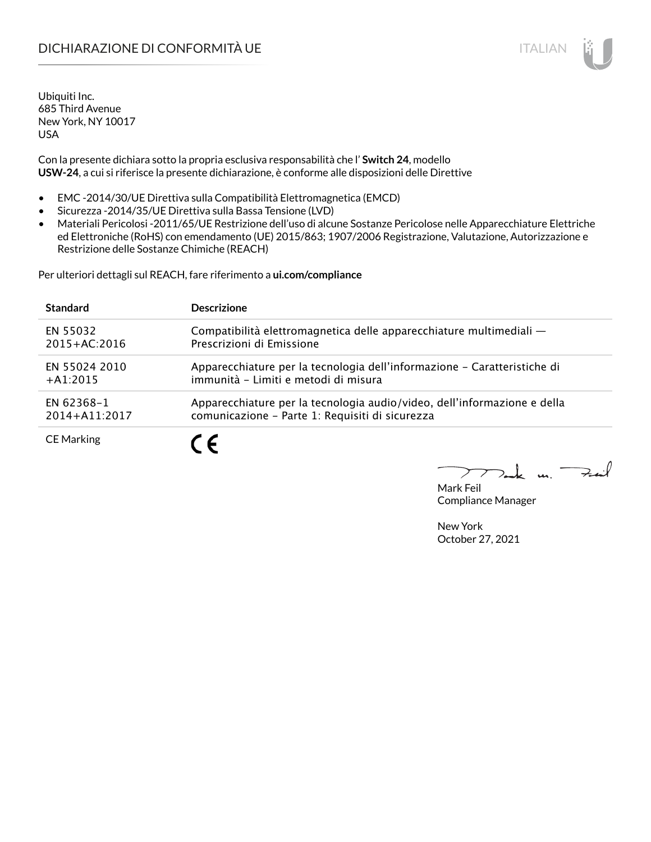# DICHIARAZIONE DI CONFORMITÀ UE ITALIAN IN ESSENTIANO IN ESSENTIA UN ESSENTIA UN ESSENTIA UN ESSENTIA UN ESSENT

Ubiquiti Inc. 685 Third Avenue New York, NY 10017 USA

Con la presente dichiara sotto la propria esclusiva responsabilità che l' **Switch 24**, modello **USW-24**, a cui si riferisce la presente dichiarazione, è conforme alle disposizioni delle Direttive

- EMC -2014/30/UE Direttiva sulla Compatibilità Elettromagnetica (EMCD)
- Sicurezza -2014/35/UE Direttiva sulla Bassa Tensione (LVD)
- Materiali Pericolosi -2011/65/UE Restrizione dell'uso di alcune Sostanze Pericolose nelle Apparecchiature Elettriche ed Elettroniche (RoHS) con emendamento (UE) 2015/863; 1907/2006 Registrazione, Valutazione, Autorizzazione e Restrizione delle Sostanze Chimiche (REACH)

Per ulteriori dettagli sul REACH, fare riferimento a **ui.com/compliance**

| <b>Standard</b>   | <b>Descrizione</b>                                                       |
|-------------------|--------------------------------------------------------------------------|
| EN 55032          | Compatibilità elettromagnetica delle apparecchiature multimediali -      |
| $2015 + AC:2016$  | Prescrizioni di Emissione                                                |
| EN 55024 2010     | Apparecchiature per la tecnologia dell'informazione – Caratteristiche di |
| $+A1:2015$        | immunità - Limiti e metodi di misura                                     |
| EN 62368-1        | Apparecchiature per la tecnologia audio/video, dell'informazione e della |
| 2014+A11:2017     | comunicazione - Parte 1: Requisiti di sicurezza                          |
| <b>CE Marking</b> |                                                                          |

 $\Rightarrow$ inf  $\overline{u}$ 

Mark Feil Compliance Manager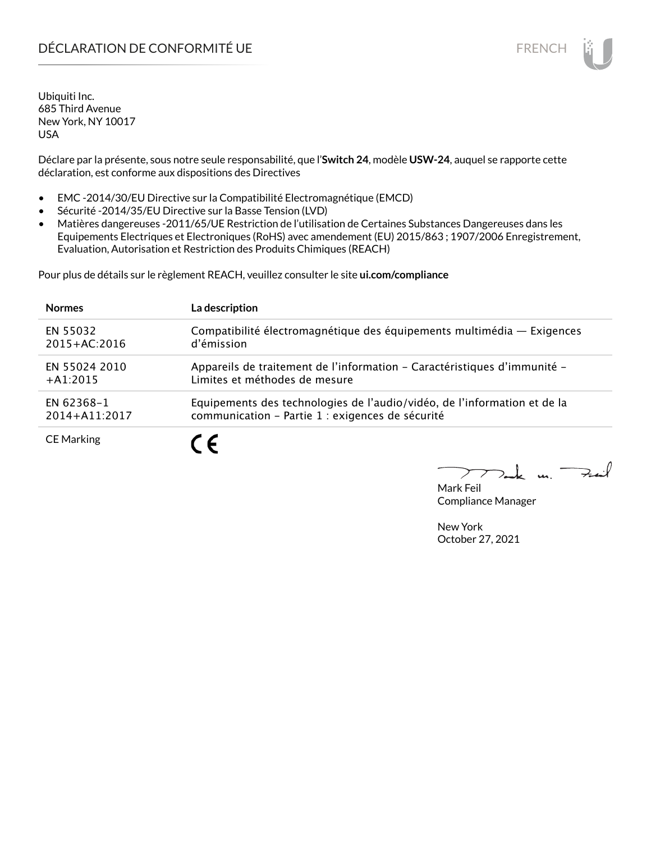# DÉCLARATION DE CONFORMITÉ UE EN ENCHANGEMENT DE CONFORMITÉ UNE ENCHANGEMENT DE CONFORMITÉ UNE ENCHANGEMENT DE

Ubiquiti Inc. 685 Third Avenue New York, NY 10017 USA

Déclare par la présente, sous notre seule responsabilité, que l'**Switch 24**, modèle **USW-24**, auquel se rapporte cette déclaration, est conforme aux dispositions des Directives

- EMC -2014/30/EU Directive sur la Compatibilité Electromagnétique (EMCD)
- Sécurité -2014/35/EU Directive sur la Basse Tension (LVD)
- Matières dangereuses -2011/65/UE Restriction de l'utilisation de Certaines Substances Dangereuses dans les Equipements Electriques et Electroniques (RoHS) avec amendement (EU) 2015/863 ; 1907/2006 Enregistrement, Evaluation, Autorisation et Restriction des Produits Chimiques (REACH)

Pour plus de détails sur le règlement REACH, veuillez consulter le site **ui.com/compliance**

| <b>Normes</b>     | La description                                                           |
|-------------------|--------------------------------------------------------------------------|
| EN 55032          | Compatibilité électromagnétique des équipements multimédia — Exigences   |
| $2015 + AC:2016$  | d'émission                                                               |
| EN 55024 2010     | Appareils de traitement de l'information - Caractéristiques d'immunité - |
| $+A1:2015$        | Limites et méthodes de mesure                                            |
| EN 62368-1        | Equipements des technologies de l'audio/vidéo, de l'information et de la |
| 2014+A11:2017     | communication - Partie 1 : exigences de sécurité                         |
| <b>CE Marking</b> |                                                                          |

لأمدحة  $\mathbf{u}$ 

Mark Feil Compliance Manager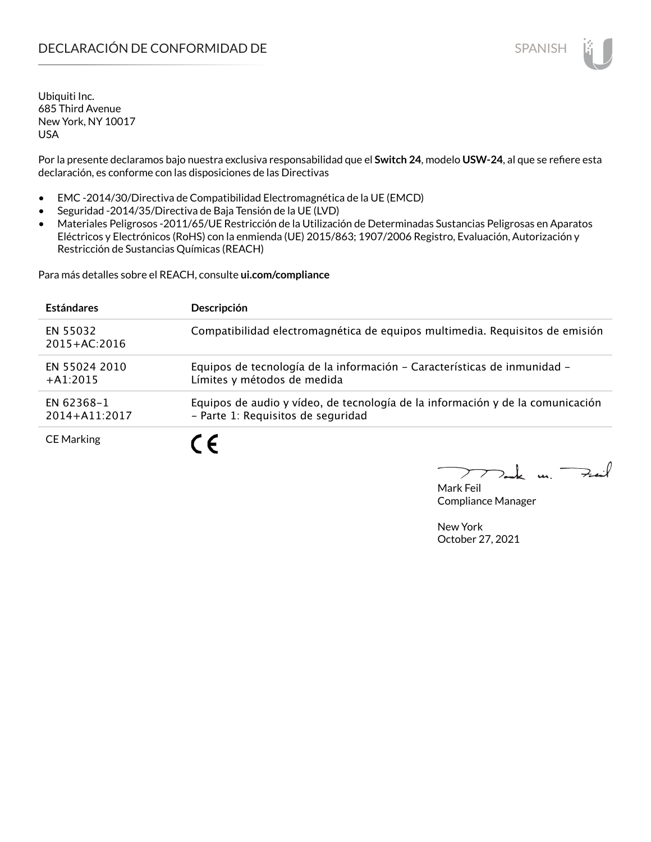Por la presente declaramos bajo nuestra exclusiva responsabilidad que el **Switch 24**, modelo **USW-24**, al que se refiere esta declaración, es conforme con las disposiciones de las Directivas

- EMC -2014/30/Directiva de Compatibilidad Electromagnética de la UE (EMCD)
- Seguridad -2014/35/Directiva de Baja Tensión de la UE (LVD)
- Materiales Peligrosos -2011/65/UE Restricción de la Utilización de Determinadas Sustancias Peligrosas en Aparatos Eléctricos y Electrónicos (RoHS) con la enmienda (UE) 2015/863; 1907/2006 Registro, Evaluación, Autorización y Restricción de Sustancias Químicas (REACH)

Para más detalles sobre el REACH, consulte **ui.com/compliance**

| <b>Estándares</b>            | Descripción                                                                                                          |
|------------------------------|----------------------------------------------------------------------------------------------------------------------|
| EN 55032<br>$2015 + AC:2016$ | Compatibilidad electromagnética de equipos multimedia. Requisitos de emisión                                         |
| EN 55024 2010<br>$+A1:2015$  | Equipos de tecnología de la información - Características de inmunidad -<br>Límites y métodos de medida              |
| EN 62368-1<br>2014+A11:2017  | Equipos de audio y vídeo, de tecnología de la información y de la comunicación<br>- Parte 1: Requisitos de seguridad |
| <b>CE Marking</b>            | 7 C                                                                                                                  |

Mark Feil Compliance Manager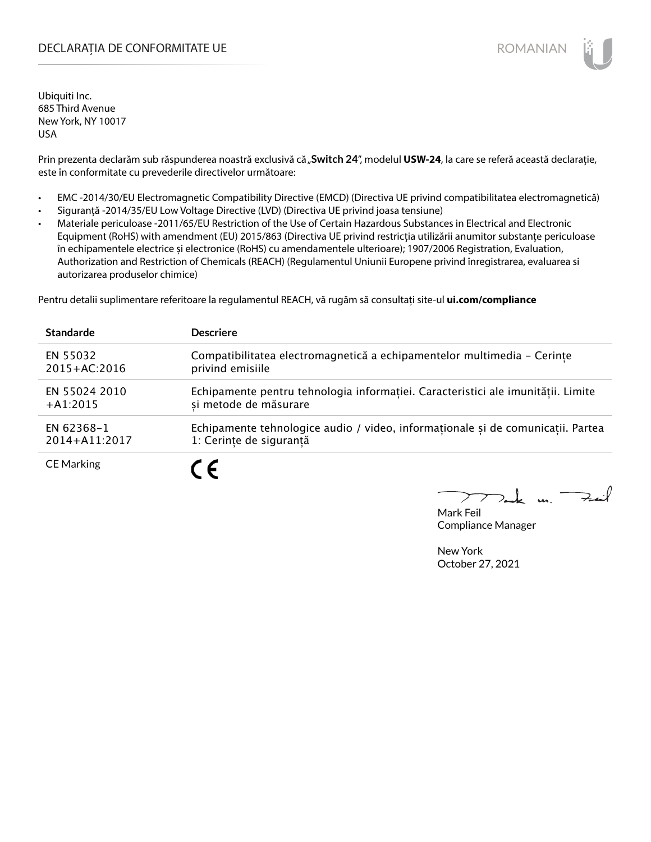### DECLARAȚIA DE CONFORMITATE UE EXTERNATION ANNO 1999 EN ANNO 1999 ROMANIAN

Ubiquiti Inc. 685 Third Avenue New York, NY 10017 USA

Prin prezenta declarăm sub răspunderea noastră exclusivă că "Switch 24", modelul USW-24, la care se referă această declarație, este în conformitate cu prevederile directivelor următoare:

- EMC -2014/30/EU Electromagnetic Compatibility Directive (EMCD) (Directiva UE privind compatibilitatea electromagnetică)
- Siguranță -2014/35/EU Low Voltage Directive (LVD) (Directiva UE privind joasa tensiune)
- Materiale periculoase -2011/65/EU Restriction of the Use of Certain Hazardous Substances in Electrical and Electronic Equipment (RoHS) with amendment (EU) 2015/863 (Directiva UE privind restricția utilizării anumitor substanțe periculoase în echipamentele electrice și electronice (RoHS) cu amendamentele ulterioare); 1907/2006 Registration, Evaluation, Authorization and Restriction of Chemicals (REACH) (Regulamentul Uniunii Europene privind înregistrarea, evaluarea si autorizarea produselor chimice)

Pentru detalii suplimentare referitoare la regulamentul REACH, vă rugăm să consultați site-ul **ui.com/compliance**

| <b>Standarde</b>  | <b>Descriere</b>                                                                 |
|-------------------|----------------------------------------------------------------------------------|
| EN 55032          | Compatibilitatea electromagnetică a echipamentelor multimedia - Cerințe          |
| $2015 + AC:2016$  | privind emisiile                                                                 |
| EN 55024 2010     | Echipamente pentru tehnologia informației. Caracteristici ale imunității. Limite |
| $+A1:2015$        | si metode de măsurare                                                            |
| EN 62368-1        | Echipamente tehnologice audio / video, informationale și de comunicatii. Partea  |
| 2014+A11:2017     | 1: Cerințe de siguranță                                                          |
| <b>CE Marking</b> | C F                                                                              |

 $\overline{u}$   $\overline{\rightarrow}$ 

Mark Feil Compliance Manager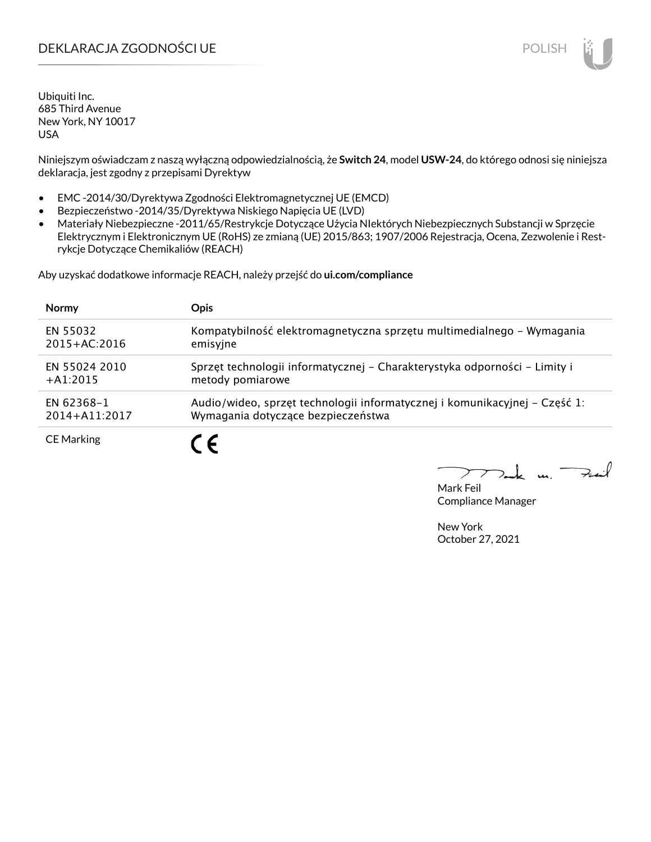## DEKLARACJA ZGODNOŚCI UE POLISH POLISH

Ubiquiti Inc. 685 Third Avenue New York, NY 10017 USA

Niniejszym oświadczam z naszą wyłączną odpowiedzialnością, że **Switch 24**, model **USW-24**, do którego odnosi się niniejsza deklaracja, jest zgodny z przepisami Dyrektyw

- EMC -2014/30/Dyrektywa Zgodności Elektromagnetycznej UE (EMCD)
- Bezpieczeństwo -2014/35/Dyrektywa Niskiego Napięcia UE (LVD)
- Materiały Niebezpieczne -2011/65/Restrykcje Dotyczące Użycia NIektórych Niebezpiecznych Substancji w Sprzęcie Elektrycznym i Elektronicznym UE (RoHS) ze zmianą (UE) 2015/863; 1907/2006 Rejestracja, Ocena, Zezwolenie i Restrykcje Dotyczące Chemikaliów (REACH)

Aby uzyskać dodatkowe informacje REACH, należy przejść do **ui.com/compliance**

| <b>Normy</b>      | <b>Opis</b>                                                                |
|-------------------|----------------------------------------------------------------------------|
| EN 55032          | Kompatybilność elektromagnetyczna sprzętu multimedialnego – Wymagania      |
| $2015 + AC:2016$  | emisyjne                                                                   |
| EN 55024 2010     | Sprzęt technologii informatycznej - Charakterystyka odporności - Limity i  |
| $+A1:2015$        | metody pomiarowe                                                           |
| EN 62368-1        | Audio/wideo, sprzęt technologii informatycznej i komunikacyjnej – Część 1: |
| 2014+A11:2017     | Wymagania dotyczące bezpieczeństwa                                         |
| <b>CE Marking</b> |                                                                            |

لأمدحة  $\mathbf{u}$ 

Mark Feil Compliance Manager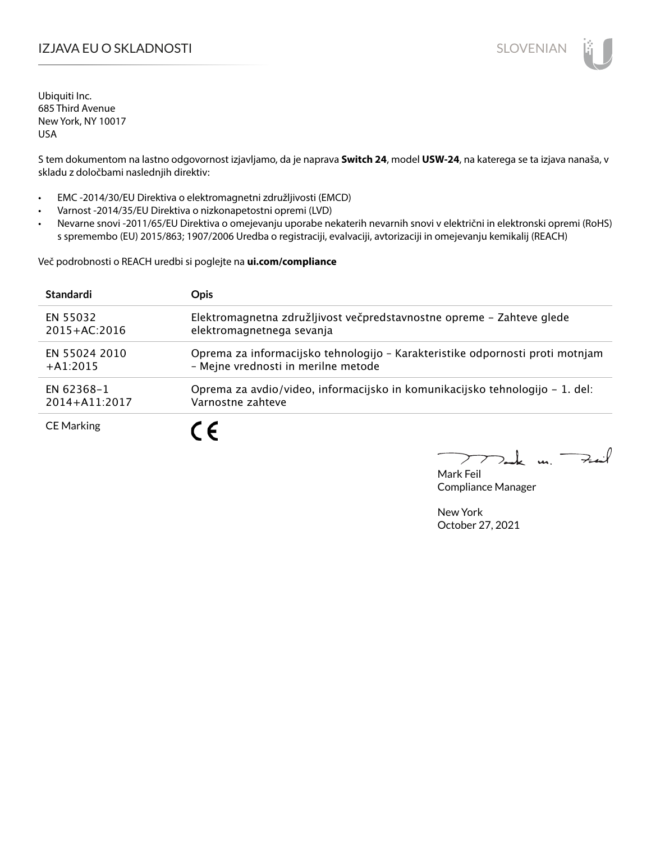## IZJAVA EU O SKLADNOSTI SLOVENIAN

Ubiquiti Inc. 685 Third Avenue New York, NY 10017 USA

S tem dokumentom na lastno odgovornost izjavljamo, da je naprava **Switch 24**, model **USW-24**, na katerega se ta izjava nanaša, v skladu z določbami naslednjih direktiv:

- EMC -2014/30/EU Direktiva o elektromagnetni združljivosti (EMCD)
- Varnost -2014/35/EU Direktiva o nizkonapetostni opremi (LVD)
- Nevarne snovi -2011/65/EU Direktiva o omejevanju uporabe nekaterih nevarnih snovi v električni in elektronski opremi (RoHS) s spremembo (EU) 2015/863; 1907/2006 Uredba o registraciji, evalvaciji, avtorizaciji in omejevanju kemikalij (REACH)

Več podrobnosti o REACH uredbi si poglejte na **ui.com/compliance**

| <b>Standardi</b>  | <b>Opis</b>                                                                   |
|-------------------|-------------------------------------------------------------------------------|
| EN 55032          | Elektromagnetna združljivost večpredstavnostne opreme – Zahteve glede         |
| $2015 + AC:2016$  | elektromagnetnega sevanja                                                     |
| EN 55024 2010     | Oprema za informacijsko tehnologijo - Karakteristike odpornosti proti motnjam |
| $+41:2015$        | - Mejne vrednosti in merilne metode                                           |
| EN 62368-1        | Oprema za avdio/video, informacijsko in komunikacijsko tehnologijo – 1. del:  |
| 2014+A11:2017     | Varnostne zahteve                                                             |
| <b>CE Marking</b> |                                                                               |

 $k$  un  $\rightarrow$ 

Mark Feil Compliance Manager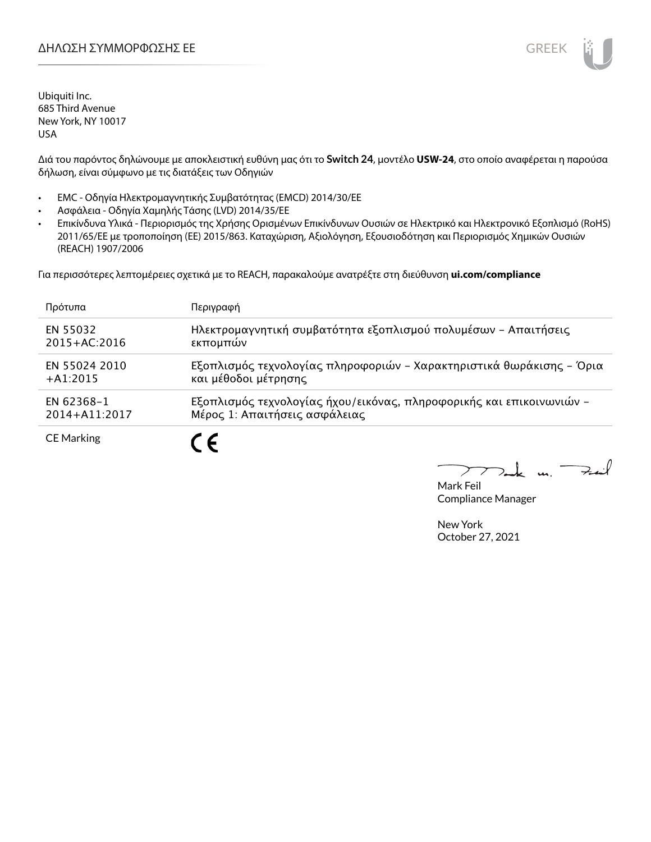Διά του παρόντος δηλώνουμε με αποκλειστική ευθύνη μας ότι το **Switch 24**, μοντέλο **USW-24**, στο οποίο αναφέρεται η παρούσα δήλωση, είναι σύμφωνο με τις διατάξεις των Οδηγιών

- EMC Οδηγία Ηλεκτρομαγνητικής Συμβατότητας (EMCD) 2014/30/ΕΕ
- Ασφάλεια Οδηγία Χαμηλής Τάσης (LVD) 2014/35/ΕΕ
- Επικίνδυνα Υλικά Περιορισμός της Χρήσης Ορισμένων Επικίνδυνων Ουσιών σε Ηλεκτρικό και Ηλεκτρονικό Εξοπλισμό (RoHS) 2011/65/ΕΕ με τροποποίηση (ΕΕ) 2015/863. Καταχώριση, Αξιολόγηση, Εξουσιοδότηση και Περιορισμός Χημικών Ουσιών (REACH) 1907/2006

Για περισσότερες λεπτομέρειες σχετικά με το REACH, παρακαλούμε ανατρέξτε στη διεύθυνση **ui.com/compliance**

| Πρότυπα           | Περιγραφή                                                            |
|-------------------|----------------------------------------------------------------------|
| EN 55032          | Ηλεκτρομαγνητική συμβατότητα εξοπλισμού πολυμέσων - Απαιτήσεις       |
| 2015+AC:2016      | εκπομπών                                                             |
| EN 55024 2010     | Εξοπλισμός τεχνολογίας πληροφοριών - Χαρακτηριστικά θωράκισης - Όρια |
| $+41:2015$        | και μέθοδοι μέτρησης                                                 |
| EN 62368-1        | Εξοπλισμός τεχνολογίας ήχου/εικόνας, πληροφορικής και επικοινωνιών - |
| 2014+A11:2017     | Μέρος 1: Απαιτήσεις ασφάλειας                                        |
| <b>CE Marking</b> |                                                                      |

Fail t u ↗

Mark Feil Compliance Manager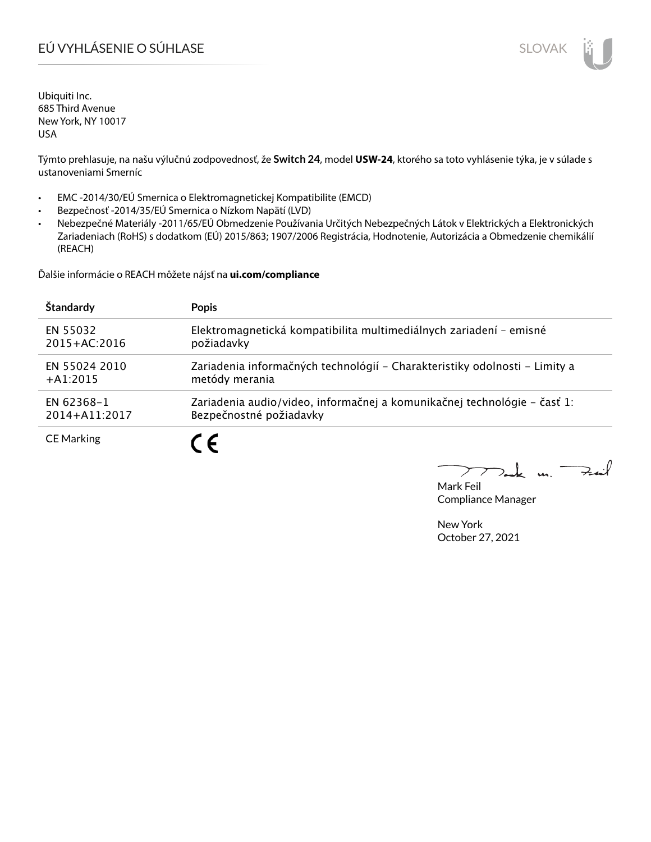# EÚ VYHLÁSENIE O SÚHLASE SLOVAK SLOVAK

Ubiquiti Inc. 685 Third Avenue New York, NY 10017 USA

Týmto prehlasuje, na našu výlučnú zodpovednosť, že **Switch 24**, model **USW-24**, ktorého sa toto vyhlásenie týka, je v súlade s ustanoveniami Smerníc

- EMC -2014/30/EÚ Smernica o Elektromagnetickej Kompatibilite (EMCD)
- Bezpečnosť -2014/35/EÚ Smernica o Nízkom Napätí (LVD)
- Nebezpečné Materiály -2011/65/EÚ Obmedzenie Používania Určitých Nebezpečných Látok v Elektrických a Elektronických Zariadeniach (RoHS) s dodatkom (EÚ) 2015/863; 1907/2006 Registrácia, Hodnotenie, Autorizácia a Obmedzenie chemikálií (REACH)

Ďalšie informácie o REACH môžete nájsť na **ui.com/compliance**

| Štandardy         | <b>Popis</b>                                                               |
|-------------------|----------------------------------------------------------------------------|
| EN 55032          | Elektromagnetická kompatibilita multimediálnych zariadení - emisné         |
| $2015 + AC:2016$  | požiadavky                                                                 |
| EN 55024 2010     | Zariadenia informačných technológií – Charakteristiky odolnosti – Limity a |
| $+A1:2015$        | metódy merania                                                             |
| EN 62368-1        | Zariadenia audio/video, informačnej a komunikačnej technológie – časť 1:   |
| 2014+A11:2017     | Bezpečnostné požiadavky                                                    |
| <b>CE Marking</b> |                                                                            |

Fail  $\mathbf{L}$  $\mathbf{u}$  $\sum$ 

Mark Feil Compliance Manager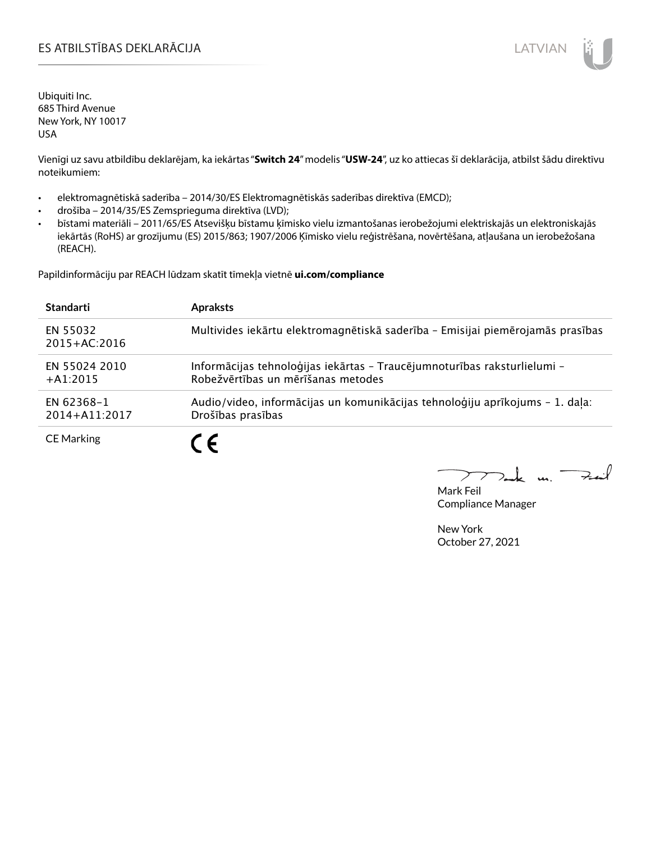### ES ATBILSTĪBAS DEKLARĀCIJA LATVIAN

Ubiquiti Inc. 685 Third Avenue New York, NY 10017 USA

Vienīgi uz savu atbildību deklarējam, ka iekārtas "**Switch 24**" modelis "**USW-24**", uz ko attiecas šī deklarācija, atbilst šādu direktīvu noteikumiem:

- elektromagnētiskā saderība 2014/30/ES Elektromagnētiskās saderības direktīva (EMCD);
- drošība 2014/35/ES Zemsprieguma direktīva (LVD);
- bīstami materiāli 2011/65/ES Atsevišķu bīstamu ķīmisko vielu izmantošanas ierobežojumi elektriskajās un elektroniskajās iekārtās (RoHS) ar grozījumu (ES) 2015/863; 1907/2006 Ķīmisko vielu reģistrēšana, novērtēšana, atļaušana un ierobežošana (REACH).

Papildinformāciju par REACH lūdzam skatīt tīmekļa vietnē **ui.com/compliance**

| <b>Standarti</b>             | <b>Apraksts</b>                                                                                                |
|------------------------------|----------------------------------------------------------------------------------------------------------------|
| EN 55032<br>$2015 + AC:2016$ | Multivides iekārtu elektromagnētiskā saderība - Emisijai piemērojamās prasības                                 |
| EN 55024 2010<br>$+A1:2015$  | Informācijas tehnoloģijas iekārtas - Traucējumnoturības raksturlielumi -<br>Robežvērtības un mērīšanas metodes |
| EN 62368-1<br>2014+A11:2017  | Audio/video, informācijas un komunikācijas tehnoloģiju aprīkojums - 1. daļa:<br>Drošības prasības              |
| <b>CE Marking</b>            |                                                                                                                |

m. Fail

Mark Feil Compliance Manager